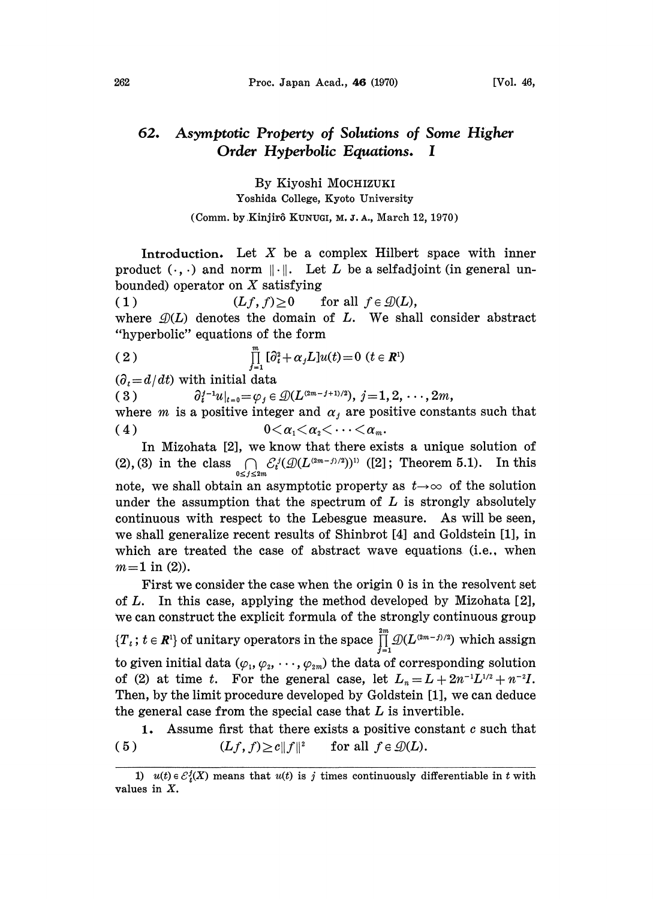## Asymptotic Property of Solutions of Some Higher 62. Order Hyperbolic Equations. <sup>I</sup>

By Kiyoshi MOCHIZUKI Yoshida College, Kyoto University

(Comm. by Kinjirô KUNUGI, M. J. A., March 12, 1970)

Introduction. Let  $X$  be a complex Hilbert space with inner product  $(\cdot, \cdot)$  and norm  $\|\cdot\|$ . Let L be a selfadjoint (in general unbounded) operator on  $X$  satisfying

(1)  $(Lf, f) \geq 0$  for all  $f \in \mathcal{D}(L)$ , where  $\mathcal{D}(L)$  denotes the domain of L. We shall consider abstract "hyperbolic" equations of the form

(2) 
$$
\prod_{j=1}^{m} [\partial_t^2 + \alpha_j L] u(t) = 0 \ (t \in \mathbb{R}^1)
$$

 $(\partial_t = d/dt)$  with initial data

( 3 )  $\partial_t^{j-1}u|_{t=0}=\varphi_j\in \mathcal{D}(L^{(2m-j+1)/2}), j=1, 2, \cdots, 2m,$ 

where *m* is a positive integer and  $\alpha_j$  are positive constants such that (4)  $0<\alpha_1<\alpha_2<\cdots<\alpha_m$ .

In Mizohata [2], we know that there exists a unique solution of (2), (3) in the class  $\bigcap_{0 \leq j \leq 2m} \mathcal{E}_t^j(\mathcal{D}(L^{(2m-j)/2}))^{(1)}$  ([2]; Theorem 5.1). In this note, we shall obtain an asymptotic property as  $t\rightarrow\infty$  of the solution under the assumption that the spectrum of  $L$  is strongly absolutely continuous with respect to the Lebesgue measure. As will be seen, we shall generalize recent results of Shinbrot [4] and Goldstein [1], in which are treated the case of abstract wave equations (i.e., when  $m=1$  in (2)).

First we consider the case when the origin 0 is in the resolvent set of  $L$ . In this case, applying the method developed by Mizohata  $[2]$ , we can construct the explicit formula of the strongly continuous group  $\{T_t\colon t\in \boldsymbol{R}^{\rm l}\}$  of unitary operators in the space  $\prod\limits_{{\rm l}}^{\rm 2m}\mathcal{D}(L^{(2m-j)/2})$  which assign to given initial data  $(\varphi_1, \varphi_2, \cdots, \varphi_{2m})$  the data of corresponding solution of (2) at time t. For the general case, let  $L_n = L + 2n^{-1}L^{1/2} + n^{-2}L$ . Then, by the limit procedure developed by Goldstein [1], we can deduce the general case from the special case that  $L$  is invertible.

1. Assume first that there exists a positive constant  $c$  such that ( 5 )  $(Lf, f) \ge c ||f||^2$  for all  $f \in \mathcal{D}(L)$ .

<sup>1)</sup>  $u(t) \in \mathcal{E}_t^j(X)$  means that  $u(t)$  is j times continuously differentiable in t with values in X.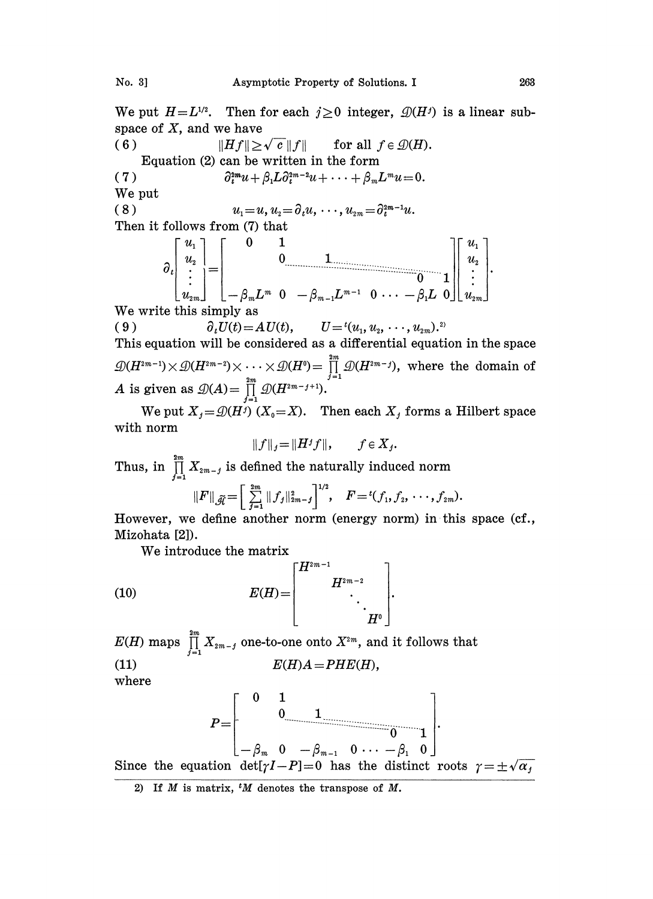We put  $H = L^{1/2}$ . Then for each  $j \ge 0$  integer,  $\mathcal{D}(H^j)$  is a linear subspace of  $X$ , and we have

( 6 )  $||Hf|| \ge \sqrt{c} ||f||$  for all  $f \in \mathcal{D}(H)$ . Equation (2) can be written in the form (7)  $\partial_t^{2m} u + \beta_1 L \partial_t^{2m-2} u + \cdots + \beta_m L^m u = 0.$ 

We put

( 8 )  $u_1 = u, u_2 = \partial_t u, \dots, u_{2m} = \partial_t^{2m-1} u.$ Then it follows from (7) that

$$
\partial_t \begin{bmatrix} u_1 \\ u_2 \\ \vdots \\ u_{2m} \end{bmatrix} = \begin{bmatrix} 0 & 1 & & \\ & 0 & 1 & \\ & & \ddots & \\ -\beta_m L^m & 0 & -\beta_{m-1} L^{m-1} & 0 & \cdots & -\beta_1 L & 0 \end{bmatrix} \begin{bmatrix} u_1 \\ u_2 \\ \vdots \\ u_{2m} \end{bmatrix}.
$$
  
We write this simply as

( 9 )  $\partial_t U(t) = A U(t), \qquad U = {}^t (u_1, u_2, \dots, u_{2m}).^2$ 

This equation will be considered as a differential equation in the space  $\mathcal{D}(H^{2m-1})\times \mathcal{D}(H^{2m-2})\times \cdots \times \mathcal{D}(H^0) = \prod_{j=1}^{2m} \mathcal{D}(H^{2m-j}),$  where the domain of <br>*A* is given as  $\mathcal{D}(A) = \prod_{j=1}^{2m} \mathcal{D}(H^{2m-j+1}).$ 

We put  $X_j = \mathcal{D}(H^j)(X_0 = X)$ . Then each  $X_j$  forms a Hilbert space with norm

$$
||f||_j = ||H^j f||, \qquad f \in X_j.
$$

Thus, in  $\prod_{i=1}^{2m} X_{2m-i}$  is defined the naturally induced norm

$$
\|F\|_{\widetilde{\mathscr{A}}} \!=\! \Big[\sum_{j=1}^{2m} \|f_j\|_{2m-j}^2\Big]^{1/2}, \quad F \!=\! { }^t(f_1,f_2,\cdots,f_{2m}).
$$

However, we define another norm (energy norm) in this space  $(cf.,$ Mizohata [2]).

We introduce the matrix

(10) 
$$
E(H) = \begin{bmatrix} H^{2m-1} & & \\ & H^{2m-2} & \\ & & \ddots & \\ & & & H^0 \end{bmatrix}.
$$

 $E(H)$  maps  $\prod_{j=1}^{2m} X_{2m-j}$  one-to-one onto  $X^{2m}$ , and it follows that (11)  $E(H)A=PHE(H),$ where

$$
P=\begin{bmatrix}0&1\\0&1\end{bmatrix}
$$
  
Since the equation  $\det[\gamma I-P]=0$  has the distinct roots  $\gamma=\pm\sqrt{\alpha_j}$ 

2) If  $M$  is matrix,  $^tM$  denotes the transpose of  $M$ .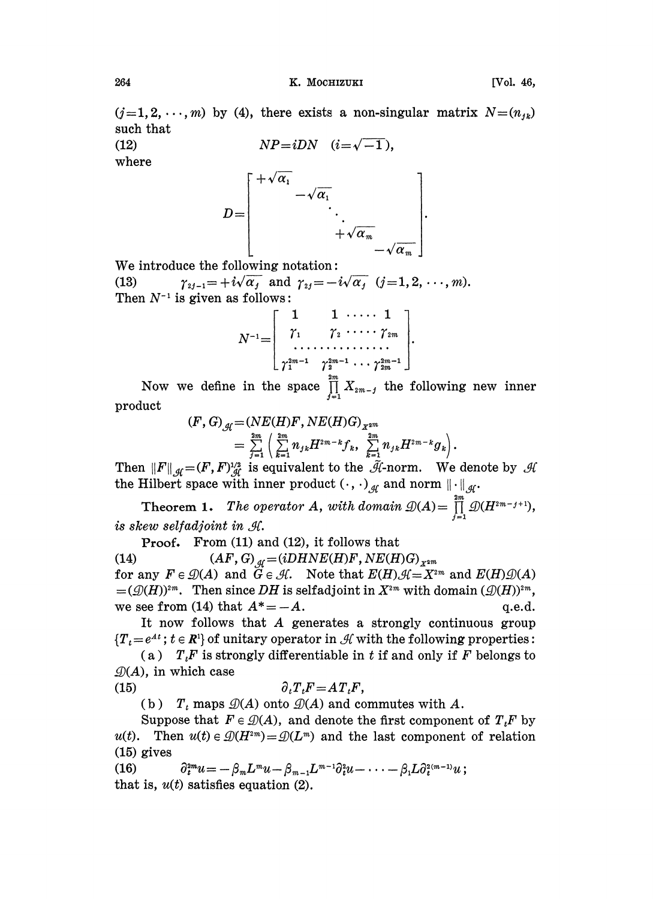$(j=1,2,\ldots,m)$  by (4), there exists a non-singular matrix  $N=(n_{1k})$ such that

(12)  $NP = iDN \quad (i = \sqrt{-1}),$  $\sqrt{ }$ 

$$
D=\left[\begin{array}{c}+\sqrt{\alpha_1} & & \\ & -\sqrt{\alpha_1} & & \\ & & \ddots & \\ & & & +\sqrt{\alpha_m} \\ & & & -\sqrt{\alpha_m}\end{array}\right].
$$

We introduce the following notation:

(13)  $\gamma_{2j-1} = +i\sqrt{\alpha_j}$  and  $\gamma_{2j} = -i\sqrt{\alpha_j}$  (j=1, 2, ..., m). Then  $N^{-1}$  is given as follows:

$$
N^{-1} = \left[\begin{array}{ccc} 1 & 1 & \cdots & 1 \\ \gamma_1 & \gamma_2 & \cdots & \gamma_{2m} \\ \cdots & \cdots & \cdots & \cdots \\ \gamma_1^{2m-1} & \gamma_2^{2m-1} & \cdots & \gamma_{2m}^{2m-1} \end{array}\right].
$$

Now we define in the space  $\prod_{i=1}^{m} X_{2m-i}$  the following new inner product

$$
(F, G)_{\mathcal{A}} = (NE(H)F, NE(H)G)_{X^{2m}} = \frac{2m}{y-1} \left( \sum_{k=1}^{2m} n_{jk} H^{2m-k} f_k, \sum_{k=1}^{2m} n_{jk} H^{2m-k} g_k \right).
$$

Then  $||F||_{\mathcal{A}} = (F, F)^{1/2}_{\mathcal{A}}$  is equivalent to the  $\tilde{\mathcal{A}}$ -norm. We denote by  $\mathcal{A}$ the Hilbert space with inner product  $(\cdot, \cdot)_{\mathcal{A}}$  and norm  $\|\cdot\|_{\mathcal{A}}$ .

Theorem 1. The operator A, with domain  $\mathcal{D}(A)=\prod_{i=1}^{2m}\mathcal{D}(H^{2m-j+1}),$ is skew selfadjoint in  $H$ .

Proof. From (11) and (12), it follows that

(14)  $(AF, G)_{\mathcal{A}} = (iDHNE(H)F, NE(H)G)_{X^{2m}}$ for any  $F \in \mathcal{D}(A)$  and  $\widetilde{G} \in \mathcal{H}$ . Note that  $E(H)\mathcal{H}=X^{2m}$  and  $E(H)\mathcal{D}(A)$  $=(\mathcal{D}(H))^{2m}$ . Then since DH is selfadjoint in  $X^{2m}$  with domain  $(\mathcal{D}(H))^{2m}$ , we see from (14) that  $A^* = -A$ . q.e.d.

It now follows that A generates <sup>a</sup> strongly continuous group  ${T<sub>t</sub> = e<sup>At</sup>$ ;  $t \in \mathbb{R}<sup>1</sup>$  of unitary operator in  $\mathcal{H}$  with the following properties:

(a)  $T<sub>i</sub>F$  is strongly differentiable in t if and only if F belongs to  $\mathcal{D}(A)$ , in which case

$$
(15) \t\t\t\t \partial_t T_t F = A T_t F,
$$

(b)  $T_t$  maps  $\mathcal{D}(A)$  onto  $\mathcal{D}(A)$  and commutes with A.

Suppose that  $F \in \mathcal{D}(A)$ , and denote the first component of  $T_iF$  by u(t). Then  $u(t) \in \mathcal{D}(H^{2m})=\mathcal{D}(L^m)$  and the last component of relation (15) gives

 $\partial_t^{2m} u = -\beta_m L^m u - \beta_{m-1} L^{m-1} \partial_t^2 u - \cdots - \beta_1 L \partial_t^{2(m-1)} u$ ;  $(16)$ that is,  $u(t)$  satisfies equation (2).

where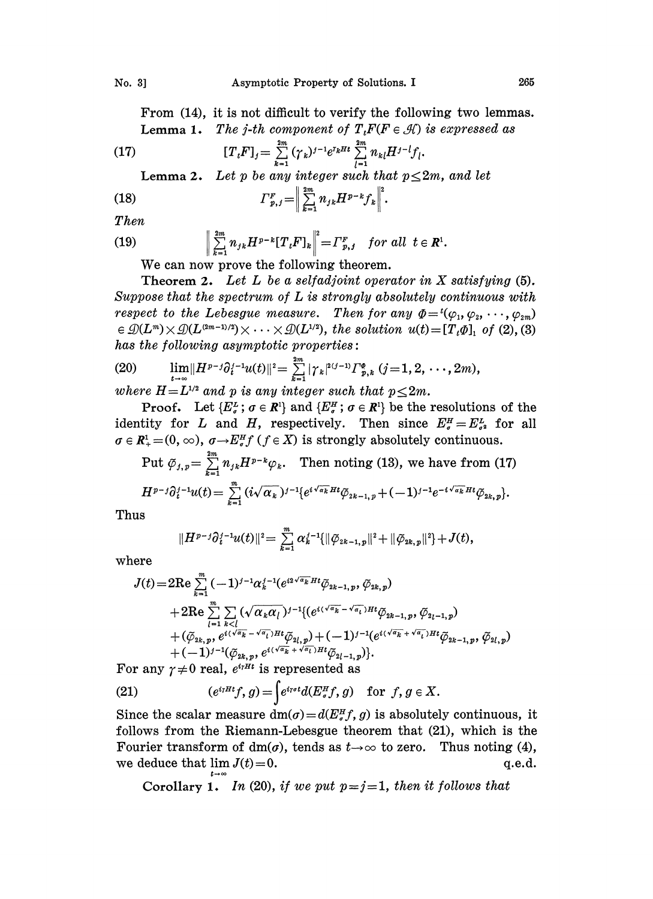From (14), it is not difficult to verify the following two lemmas. **Lemma 1.** The j-th component of  $T<sub>t</sub>F(F \in \mathcal{H})$  is expressed as

(17) 
$$
[T_{t}F]_{j} = \sum_{k=1}^{2m} (\gamma_{k})^{j-1} e^{r_{k}Ht} \sum_{l=1}^{2m} n_{kl} H^{j-l} f_{l}.
$$

Lemma 2. Let p be any integer such that  $p \leq 2m$ , and let

(18) 
$$
\Gamma_{p,j}^F = \Big\| \sum_{k=1}^{2m} n_{jk} H^{p-k} f_k \Big\|^2.
$$

Then

(19) 
$$
\left\| \sum_{k=1}^{2m} n_{jk} H^{p-k} [T_{k} F]_{k} \right\|^{2} = \Gamma_{p, j}^{F} \text{ for all } t \in \mathbb{R}^{1}.
$$

We can now prove the following theorem.

Theorem 2. Let L be a selfadjoint operator in X satisfying  $(5)$ . Suppose that the spectrum of L is strongly absolutely continuous with respect to the Lebesgue measure. Then for any  $\Phi = {^t}(\varphi_1, \varphi_2, \cdots, \varphi_{2m})$  $\in \mathcal{D}(L^m) \times \mathcal{D}(L^{(2m-1)/2}) \times \cdots \times \mathcal{D}(L^{1/2}),$  the solution  $u(t)=[T_t \Phi]_1$  of (2), (3) has the following asymptotic properties:

(20) 
$$
\lim_{t \to \infty} ||H^{p-j} \partial_i^{j-1} u(t)||^2 = \sum_{k=1}^{2m} |\gamma_k|^{2(j-1)} \Gamma_{p,k}^{\phi} (j=1,2,\dots, 2m),
$$
  
where  $H = L^{1/2}$  and p is any integer such that  $p \leq 2m$ .

**Proof.** Let  $\{E_{\sigma}^L : \sigma \in \mathbb{R}^1\}$  and  $\{E_{\sigma}^H : \sigma \in \mathbb{R}^1\}$  be the resolutions of the identity for L and H, respectively. Then since  $E^H_{\sigma} = E^L_{\sigma}$  for all  $\sigma \in \mathbb{R}^1_+ = (0, \infty)$ ,  $\sigma \rightarrow E^H_\sigma f$  ( $f \in X$ ) is strongly absolutely continuous.

$$
\mathcal{H}_{+} = (0, \infty), \ \sigma \rightarrow E_{\sigma}^{m} f \ (f \in X) \ \text{is strongly absolutely continuous.}
$$
\n
$$
\text{Put } \tilde{\varphi}_{j,p} = \sum_{k=1}^{2m} n_{jk} H^{p-k} \varphi_k. \quad \text{Then noting (13), we have from (17)}
$$
\n
$$
H^{p-j} \partial_{t}^{j-1} u(t) = \sum_{k=1}^{m} (i \sqrt{\alpha_k})^{j-1} \{ e^{i \sqrt{\alpha_k} H t} \tilde{\varphi}_{2k-1,p} + (-1)^{j-1} e^{-i \sqrt{\alpha_k} H t} \tilde{\varphi}_{2k,p} \}.
$$

Thus

$$
||H^{p-j}\partial_t^{j-1}u(t)||^2=\sum_{k=1}^m\alpha_k^{j-1}\{||\tilde\varphi_{2k-1,p}||^2+||\tilde\varphi_{2k,p}||^2\}+J(t),
$$

where

$$
J(t) = 2 \text{Re} \sum_{k=1}^{m} (-1)^{j-1} \alpha_k^{j-1} (e^{i2\sqrt{\alpha_k} Ht} \tilde{\varphi}_{2k-1,p}, \tilde{\varphi}_{2k,p}) + 2 \text{Re} \sum_{l=1}^{m} \sum_{k
$$

For any  $\gamma \neq 0$  real,  $e^{i \gamma H t}$  is represented as

(21) 
$$
(e^{i\eta Ht}f,g) = \int e^{i\eta \sigma t} d(E^H_{\sigma}f,g) \text{ for } f,g \in X.
$$

Since the scalar measure  $dm(\sigma) = d(E_{\sigma}^H f, g)$  is absolutely continuous, it follows from the Riemann-Lebesgue theorem that (21), which is the Since the scalar measure  $dm(\sigma) = a(E_{\tau}^{\tau}, g)$  is absolutely continuous, it<br>follows from the Riemann-Lebesgue theorem that (21), which is the<br>Fourier transform of dm( $\sigma$ ), tends as  $t \to \infty$  to zero. Thus noting (4), we deduce that  $\lim J(t) = 0$ .  $q.e.d.$ 

Corollary 1. In (20), if we put  $p = j = 1$ , then it follows that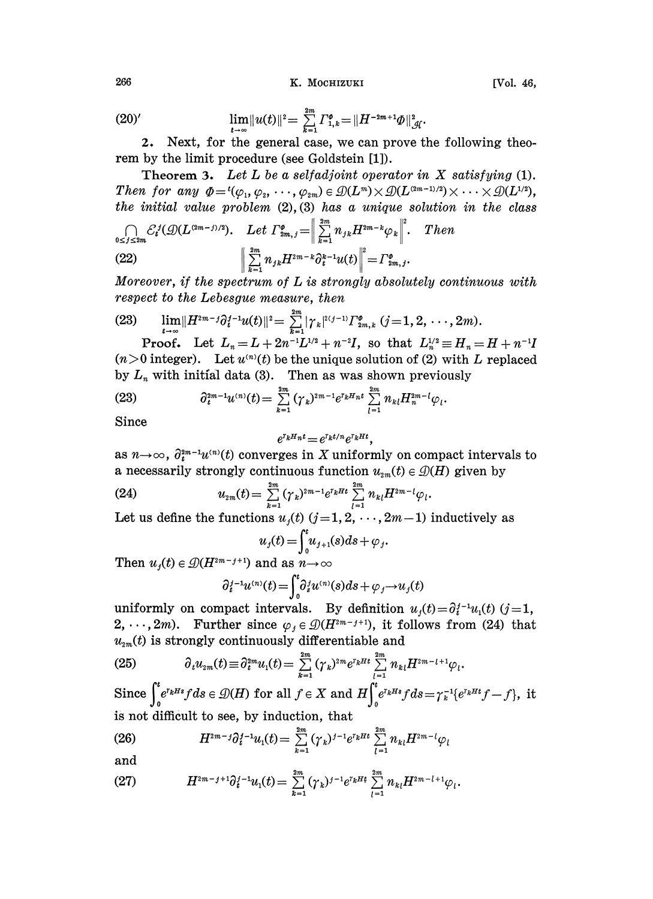K. MOCHIZUKI

(20)' 
$$
\lim_{t \to \infty} ||u(t)||^2 = \sum_{k=1}^{2m} \Gamma_{1,k}^{\phi} = ||H^{-2m+1}\Phi||_{\mathcal{H}}^2.
$$

2. Next, for the general case, we can prove the following theorem by the limit procedure (see Goldstein [1]).

**Theorem 3.** Let L be a selfadjoint operator in X satisfying  $(1)$ . Then for any  $\Phi = \{(\varphi_1, \varphi_2, \dots, \varphi_{2m}) \in \mathcal{D}(L^m) \times \mathcal{D}(L^{(2m-1)/2}) \times \dots \times \mathcal{D}(L^{1/2}),\}$ the initial value problem  $(2), (3)$  has a unique solution in the class  $\bigcap$   $\mathcal{L}^j(\mathcal{Q}(L^{(2m-j)/2}))$  Let  $\Gamma^{\phi}$   $=$   $\left\| \sum_{n=1}^{2m} n \prod_{k=1}^{2m-k}$  $Then$ 

(22) 
$$
\left\| \sum_{k=1}^{2m} n_{jk} H^{2m-k} \partial_t^k u(t) \right\|^2 = \Gamma_{2m,j}^0.
$$

Moreover, if the spectrum of  $L$  is strongly absolutely continuous with respect to the Lebesgue measure, then

(23) 
$$
\lim_{t \to \infty} ||H^{2m-j}\partial_t^{j-1}u(t)||^2 = \sum_{k=1}^{2m} |\gamma_k|^{2(j-1)} \Gamma_{2m,k}^{\phi} (j=1,2,\dots,2m).
$$

**Proof.** Let  $L_n = L + 2n^{-1}L^{1/2} + n^{-2}I$ , so that  $L_n^{1/2} \equiv H_n = H + n^{-1}I$  $(n>0$  integer). Let  $u^{(n)}(t)$  be the unique solution of (2) with L replaced by  $L_n$  with initial data (3). Then as was shown previously

(23) 
$$
\partial_t^{2m-1} u^{(n)}(t) = \sum_{k=1}^{2m} (\gamma_k)^{2m-1} e^{r_k H_n t} \sum_{l=1}^{2m} n_{kl} H_n^{2m-l} \varphi_l.
$$

Since

$$
e^{\tau_k H_n t} = e^{\tau_k t/n} e^{\tau_k H t},
$$

as  $n \rightarrow \infty$ ,  $\partial_t^{2m-1} u^{(n)}(t)$  converges in X uniformly on compact intervals to a necessarily strongly continuous function  $u_{2m}(t) \in \mathcal{D}(H)$  given by

(24) 
$$
u_{2m}(t) = \sum_{k=1}^{2m} (\gamma_k)^{2m-1} e^{r_k H t} \sum_{l=1}^{2m} n_{kl} H^{2m-l} \varphi_l
$$

Let us define the functions  $u_j(t)$   $(j=1,2,\dots,2m-1)$  inductively as

$$
u_j(t) = \int_0^t u_{j+1}(s)ds + \varphi_j.
$$

Then  $u_j(t) \in \mathcal{D}(H^{2m-j+1})$  and as  $n \to \infty$ 

$$
\partial_t^j e^{-1} u^{(n)}(t) = \int_0^t \partial_s^j u^{(n)}(s) ds + \varphi_j \to u_j(t)
$$

uniformly on compact intervals. By definition  $u_i(t) = \partial_i^{i-1} u_i(t)$  (j=1, 2, ..., 2*m*). Further since  $\varphi_i \in \mathcal{D}(H^{2m-j+1})$ , it follows from (24) that  $u_{2m}(t)$  is strongly continuously differentiable and

(25) 
$$
\partial_t u_{2m}(t) \equiv \partial_t^{2m} u_1(t) = \sum_{k=1}^{2m} (\gamma_k)^{2m} e^{i_k H t} \sum_{l=1}^{2m} n_{kl} H^{2m-l+1} \varphi_l.
$$

Since  $\int_{a}^{t} e^{r_k H s} f ds \in \mathcal{D}(H)$  for all  $f \in X$  and  $H \int_{0}^{t} e^{r_k H s} f ds = \gamma_k^{-1} \{e^{r_k H t} f - f\}$ , it is not difficult to see, by induction, that

(26) 
$$
H^{2m-j}\partial_t^{j-1}u_1(t) = \sum_{k=1}^{2m} (\gamma_k)^{j-1} e^{r_k H t} \sum_{l=1}^{2m} n_{kl} H^{2m-l}\varphi_l
$$

and

$$
(27) \tH^{2m-j+1}\partial_t^{j-1}u_1(t)=\sum_{k=1}^{2m}(\gamma_k)^{j-1}e^{r_kHt}\sum_{l=1}^{2m}n_{kl}H^{2m-l+1}\varphi_l.
$$

266